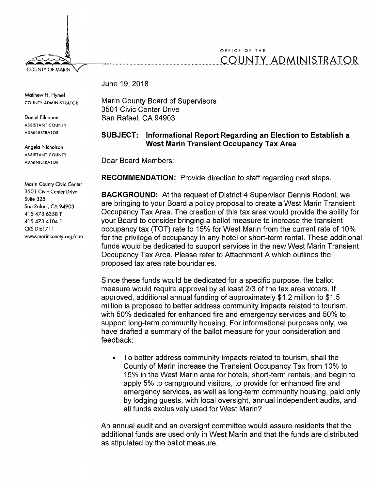## OFFICE OF THE COUNTY ADMINISTRATOR

June 19, 2018

Matthew H. Hymel COUNTY ADMINISTRATOR

**COUNTY OF MARIN** 

Daniel Eilerman ASSISTANT COUNTY ADMINISTRATOR

Angela Nicholson ASSISTANT COUNTY ADMINISTRATOR

Marin County Civic Center 3501 Civic Center Drive Suite 325 San Rafael, CA 94903 415 473 6358 T 415 473 4104 F CRS Dial 711 www.marincounty.org/cao Marin County Board of Supervisors 3501 Civic Center Drive San Rafael, CA 94903

## **SUBJECT: Informational Report Regarding an Election to Establish a West Marin Transient Occupancy Tax Area**

Dear Board Members:

**RECOMMENDATION:** Provide direction to staff regarding next steps.

**BACKGROUND:** At the request of District 4 Supervisor Dennis Rodoni, we are bringing to your Board a policy proposal to create a West Marin Transient Occupancy Tax Area. The creation of this tax area would provide the ability for your Board to consider bringing a ballot measure to increase the transient occupancy tax (TOT) rate to 15% for West Marin from the current rate of 10% for the privilege of occupancy in any hotel or short-term rental. These additional funds would be dedicated to support services in the new West Marin Transient Occupancy Tax Area. Please refer to Attachment A which outlines the proposed tax area rate boundaries.

Since these funds would be dedicated for a specific purpose, the ballot measure would require approval by at least 2/3 of the tax area voters. If approved, additional annual funding of approximately \$1.2 million to \$1.5 million is proposed to better address community impacts related to tourism, with 50% dedicated for enhanced fire and emergency services and 50% to support long-term community housing. For informational purposes only, we have drafted a summary of the ballot measure for your consideration and feedback:

• To better address community impacts related to tourism, shall the County of Marin increase the Transient Occupancy Tax from 10% to 15% in the West Marin area for hotels, short-term rentals, and begin to apply 5% to campground visitors, to provide for enhanced fire and emergency services, as well as long-term community housing, paid only by lodging guests, with local oversight, annual independent audits, and all funds exclusively used for West Marin?

An annual audit and an oversight committee would assure residents that the additional funds are used only in West Marin and that the funds are distributed as stipulated by the ballot measure.